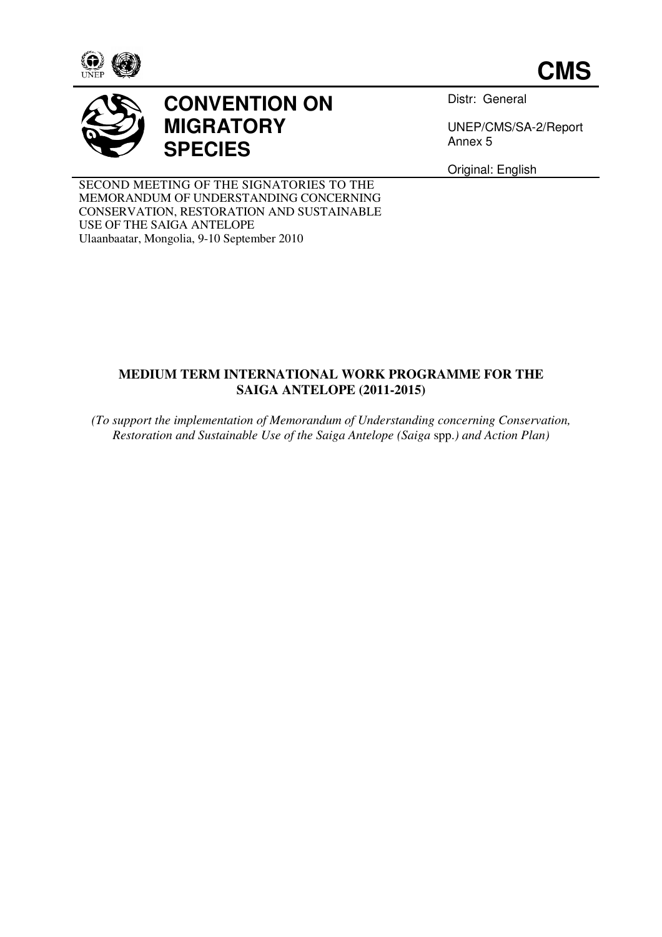





# **CONVENTION ON MIGRATORY SPECIES**

Distr: General

UNEP/CMS/SA-2/Report Annex 5

Original: English

SECOND MEETING OF THE SIGNATORIES TO THE MEMORANDUM OF UNDERSTANDING CONCERNING CONSERVATION, RESTORATION AND SUSTAINABLE USE OF THE SAIGA ANTELOPE Ulaanbaatar, Mongolia, 9-10 September 2010

## **MEDIUM TERM INTERNATIONAL WORK PROGRAMME FOR THE SAIGA ANTELOPE (2011-2015)**

*(To support the implementation of Memorandum of Understanding concerning Conservation, Restoration and Sustainable Use of the Saiga Antelope (Saiga* spp.*) and Action Plan)*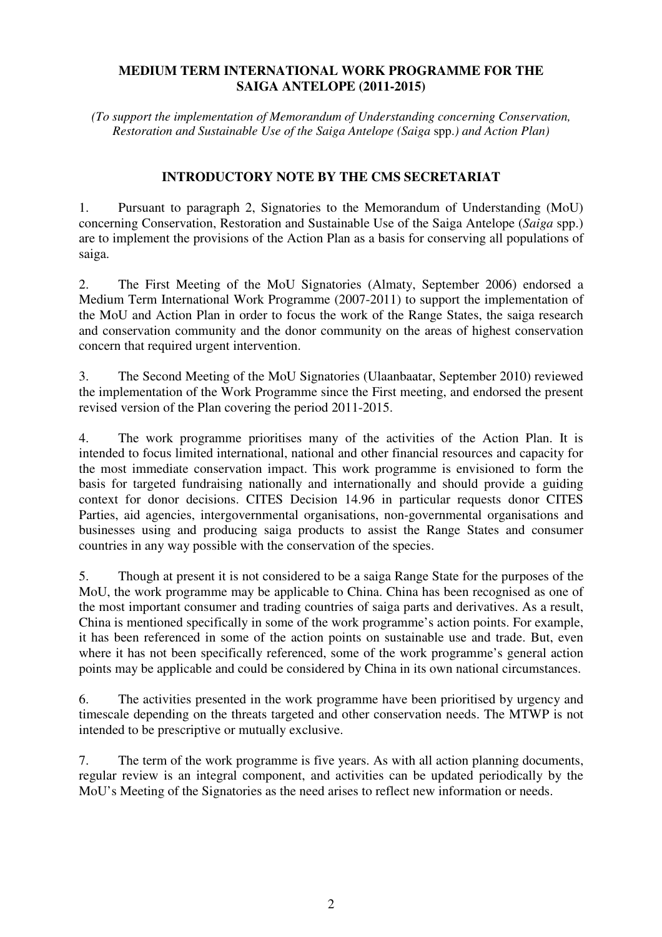### **MEDIUM TERM INTERNATIONAL WORK PROGRAMME FOR THE SAIGA ANTELOPE (2011-2015)**

*(To support the implementation of Memorandum of Understanding concerning Conservation, Restoration and Sustainable Use of the Saiga Antelope (Saiga* spp.*) and Action Plan)* 

#### **INTRODUCTORY NOTE BY THE CMS SECRETARIAT**

1. Pursuant to paragraph 2, Signatories to the Memorandum of Understanding (MoU) concerning Conservation, Restoration and Sustainable Use of the Saiga Antelope (*Saiga* spp.) are to implement the provisions of the Action Plan as a basis for conserving all populations of saiga.

2. The First Meeting of the MoU Signatories (Almaty, September 2006) endorsed a Medium Term International Work Programme (2007-2011) to support the implementation of the MoU and Action Plan in order to focus the work of the Range States, the saiga research and conservation community and the donor community on the areas of highest conservation concern that required urgent intervention.

3. The Second Meeting of the MoU Signatories (Ulaanbaatar, September 2010) reviewed the implementation of the Work Programme since the First meeting, and endorsed the present revised version of the Plan covering the period 2011-2015.

4. The work programme prioritises many of the activities of the Action Plan. It is intended to focus limited international, national and other financial resources and capacity for the most immediate conservation impact. This work programme is envisioned to form the basis for targeted fundraising nationally and internationally and should provide a guiding context for donor decisions. CITES Decision 14.96 in particular requests donor CITES Parties, aid agencies, intergovernmental organisations, non-governmental organisations and businesses using and producing saiga products to assist the Range States and consumer countries in any way possible with the conservation of the species.

5. Though at present it is not considered to be a saiga Range State for the purposes of the MoU, the work programme may be applicable to China. China has been recognised as one of the most important consumer and trading countries of saiga parts and derivatives. As a result, China is mentioned specifically in some of the work programme's action points. For example, it has been referenced in some of the action points on sustainable use and trade. But, even where it has not been specifically referenced, some of the work programme's general action points may be applicable and could be considered by China in its own national circumstances.

6. The activities presented in the work programme have been prioritised by urgency and timescale depending on the threats targeted and other conservation needs. The MTWP is not intended to be prescriptive or mutually exclusive.

7. The term of the work programme is five years. As with all action planning documents, regular review is an integral component, and activities can be updated periodically by the MoU's Meeting of the Signatories as the need arises to reflect new information or needs.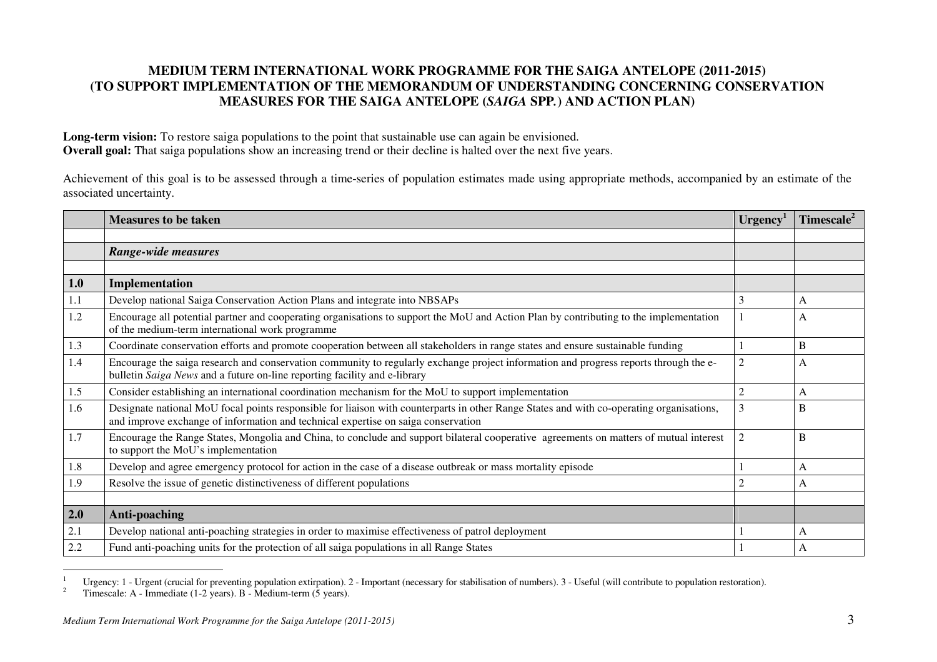### **MEDIUM TERM INTERNATIONAL WORK PROGRAMME FOR THE SAIGA ANTELOPE (2011-2015) (TO SUPPORT IMPLEMENTATION OF THE MEMORANDUM OF UNDERSTANDING CONCERNING CONSERVATION MEASURES FOR THE SAIGA ANTELOPE (***SAIGA* **SPP***.***) AND ACTION PLAN)**

Long-term vision: To restore saiga populations to the point that sustainable use can again be envisioned. **Overall goal:** That saiga populations show an increasing trend or their decline is halted over the next five years.

Achievement of this goal is to be assessed through a time-series of population estimates made using appropriate methods, accompanied by an estimate of the associated uncertainty.

|     | <b>Measures to be taken</b>                                                                                                                                                                                                   | $U$ rgency <sup>1</sup> | Timescale <sup>2</sup> |
|-----|-------------------------------------------------------------------------------------------------------------------------------------------------------------------------------------------------------------------------------|-------------------------|------------------------|
|     |                                                                                                                                                                                                                               |                         |                        |
|     | Range-wide measures                                                                                                                                                                                                           |                         |                        |
|     |                                                                                                                                                                                                                               |                         |                        |
| 1.0 | Implementation                                                                                                                                                                                                                |                         |                        |
| 1.1 | Develop national Saiga Conservation Action Plans and integrate into NBSAPs                                                                                                                                                    | 3                       | A                      |
| 1.2 | Encourage all potential partner and cooperating organisations to support the MoU and Action Plan by contributing to the implementation<br>of the medium-term international work programme                                     |                         | А                      |
| 1.3 | Coordinate conservation efforts and promote cooperation between all stakeholders in range states and ensure sustainable funding                                                                                               |                         | B                      |
| 1.4 | Encourage the saiga research and conservation community to regularly exchange project information and progress reports through the e-<br>bulletin Saiga News and a future on-line reporting facility and e-library            | $\overline{c}$          | A                      |
| 1.5 | Consider establishing an international coordination mechanism for the MoU to support implementation                                                                                                                           | $\overline{2}$          | A                      |
| 1.6 | Designate national MoU focal points responsible for liaison with counterparts in other Range States and with co-operating organisations,<br>and improve exchange of information and technical expertise on saiga conservation | 3                       | B                      |
| 1.7 | Encourage the Range States, Mongolia and China, to conclude and support bilateral cooperative agreements on matters of mutual interest<br>to support the MoU's implementation                                                 |                         | B                      |
| 1.8 | Develop and agree emergency protocol for action in the case of a disease outbreak or mass mortality episode                                                                                                                   |                         | A                      |
| 1.9 | Resolve the issue of genetic distinctiveness of different populations                                                                                                                                                         |                         | A                      |
|     |                                                                                                                                                                                                                               |                         |                        |
| 2.0 | Anti-poaching                                                                                                                                                                                                                 |                         |                        |
| 2.1 | Develop national anti-poaching strategies in order to maximise effectiveness of patrol deployment                                                                                                                             |                         | A                      |
| 2.2 | Fund anti-poaching units for the protection of all saiga populations in all Range States                                                                                                                                      |                         | A                      |

<sup>&</sup>lt;sup>1</sup> Urgency: 1 - Urgent (crucial for preventing population extirpation). 2 - Important (necessary for stabilisation of numbers). 3 - Useful (will contribute to population restoration).<br><sup>2</sup> Timescale: A Junmediate (1.2 yea

<sup>2</sup> Timescale: A - Immediate (1-2 years). B - Medium-term (5 years).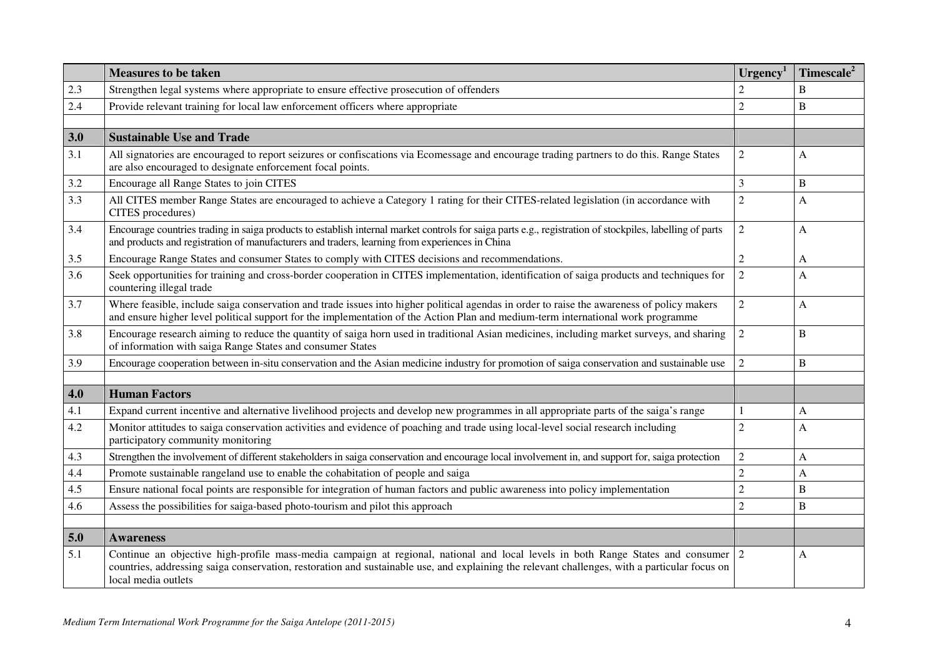|     | <b>Measures to be taken</b>                                                                                                                                                                                                                                                                               | $U$ rgency <sup>1</sup> | Timescale <sup>2</sup> |
|-----|-----------------------------------------------------------------------------------------------------------------------------------------------------------------------------------------------------------------------------------------------------------------------------------------------------------|-------------------------|------------------------|
| 2.3 | Strengthen legal systems where appropriate to ensure effective prosecution of offenders                                                                                                                                                                                                                   |                         | B                      |
| 2.4 | Provide relevant training for local law enforcement officers where appropriate                                                                                                                                                                                                                            | $\overline{2}$          | B                      |
|     |                                                                                                                                                                                                                                                                                                           |                         |                        |
| 3.0 | <b>Sustainable Use and Trade</b>                                                                                                                                                                                                                                                                          |                         |                        |
| 3.1 | All signatories are encouraged to report seizures or confiscations via Ecomessage and encourage trading partners to do this. Range States<br>are also encouraged to designate enforcement focal points.                                                                                                   | $\overline{2}$          | A                      |
| 3.2 | Encourage all Range States to join CITES                                                                                                                                                                                                                                                                  | $\overline{3}$          | B                      |
| 3.3 | All CITES member Range States are encouraged to achieve a Category 1 rating for their CITES-related legislation (in accordance with<br>CITES procedures)                                                                                                                                                  | 2                       | A                      |
| 3.4 | Encourage countries trading in saiga products to establish internal market controls for saiga parts e.g., registration of stockpiles, labelling of parts<br>and products and registration of manufacturers and traders, learning from experiences in China                                                | $\overline{2}$          | A                      |
| 3.5 | Encourage Range States and consumer States to comply with CITES decisions and recommendations.                                                                                                                                                                                                            | $\overline{2}$          | A                      |
| 3.6 | Seek opportunities for training and cross-border cooperation in CITES implementation, identification of saiga products and techniques for<br>countering illegal trade                                                                                                                                     | $\boldsymbol{2}$        | A                      |
| 3.7 | Where feasible, include saiga conservation and trade issues into higher political agendas in order to raise the awareness of policy makers<br>and ensure higher level political support for the implementation of the Action Plan and medium-term international work programme                            | $\overline{2}$          | A                      |
| 3.8 | Encourage research aiming to reduce the quantity of saiga horn used in traditional Asian medicines, including market surveys, and sharing<br>of information with saiga Range States and consumer States                                                                                                   | $\boldsymbol{2}$        | B                      |
| 3.9 | Encourage cooperation between in-situ conservation and the Asian medicine industry for promotion of saiga conservation and sustainable use                                                                                                                                                                | $\overline{2}$          | B                      |
| 4.0 | <b>Human Factors</b>                                                                                                                                                                                                                                                                                      |                         |                        |
| 4.1 | Expand current incentive and alternative livelihood projects and develop new programmes in all appropriate parts of the saiga's range                                                                                                                                                                     |                         | A                      |
| 4.2 | Monitor attitudes to saiga conservation activities and evidence of poaching and trade using local-level social research including<br>participatory community monitoring                                                                                                                                   | $\overline{c}$          | A                      |
| 4.3 | Strengthen the involvement of different stakeholders in saiga conservation and encourage local involvement in, and support for, saiga protection                                                                                                                                                          | $\boldsymbol{2}$        | A                      |
| 4.4 | Promote sustainable rangeland use to enable the cohabitation of people and saiga                                                                                                                                                                                                                          | $\overline{2}$          | A                      |
| 4.5 | Ensure national focal points are responsible for integration of human factors and public awareness into policy implementation                                                                                                                                                                             | $\overline{2}$          | B                      |
| 4.6 | Assess the possibilities for saiga-based photo-tourism and pilot this approach                                                                                                                                                                                                                            | $\overline{2}$          | B                      |
|     |                                                                                                                                                                                                                                                                                                           |                         |                        |
| 5.0 | <b>Awareness</b>                                                                                                                                                                                                                                                                                          |                         |                        |
| 5.1 | Continue an objective high-profile mass-media campaign at regional, national and local levels in both Range States and consumer 2<br>countries, addressing saiga conservation, restoration and sustainable use, and explaining the relevant challenges, with a particular focus on<br>local media outlets |                         | A                      |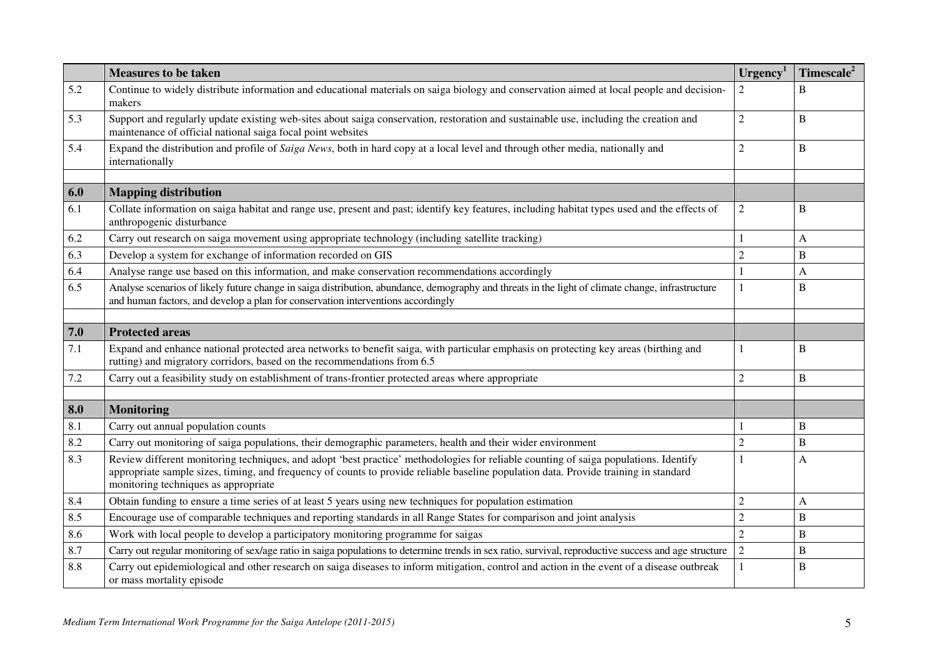|     | <b>Measures to be taken</b>                                                                                                                                                                                                                                                                                          | $U$ rgency <sup>1</sup> | Timescale <sup>2</sup> |
|-----|----------------------------------------------------------------------------------------------------------------------------------------------------------------------------------------------------------------------------------------------------------------------------------------------------------------------|-------------------------|------------------------|
| 5.2 | Continue to widely distribute information and educational materials on saiga biology and conservation aimed at local people and decision-<br>makers                                                                                                                                                                  | $\overline{2}$          | B                      |
| 5.3 | Support and regularly update existing web-sites about saiga conservation, restoration and sustainable use, including the creation and<br>maintenance of official national saiga focal point websites                                                                                                                 | $\overline{2}$          | B                      |
| 5.4 | Expand the distribution and profile of Saiga News, both in hard copy at a local level and through other media, nationally and<br>internationally                                                                                                                                                                     | $\overline{2}$          | B                      |
|     |                                                                                                                                                                                                                                                                                                                      |                         |                        |
| 6.0 | <b>Mapping distribution</b>                                                                                                                                                                                                                                                                                          |                         |                        |
| 6.1 | Collate information on saiga habitat and range use, present and past; identify key features, including habitat types used and the effects of<br>anthropogenic disturbance                                                                                                                                            | $\boldsymbol{2}$        | B                      |
| 6.2 | Carry out research on saiga movement using appropriate technology (including satellite tracking)                                                                                                                                                                                                                     |                         | A                      |
| 6.3 | Develop a system for exchange of information recorded on GIS                                                                                                                                                                                                                                                         | $\overline{2}$          | B                      |
| 6.4 | Analyse range use based on this information, and make conservation recommendations accordingly                                                                                                                                                                                                                       |                         | A                      |
| 6.5 | Analyse scenarios of likely future change in saiga distribution, abundance, demography and threats in the light of climate change, infrastructure<br>and human factors, and develop a plan for conservation interventions accordingly                                                                                | 1                       | B                      |
|     |                                                                                                                                                                                                                                                                                                                      |                         |                        |
| 7.0 | <b>Protected areas</b>                                                                                                                                                                                                                                                                                               |                         |                        |
| 7.1 | Expand and enhance national protected area networks to benefit saiga, with particular emphasis on protecting key areas (birthing and<br>rutting) and migratory corridors, based on the recommendations from 6.5                                                                                                      |                         | B                      |
| 7.2 | Carry out a feasibility study on establishment of trans-frontier protected areas where appropriate                                                                                                                                                                                                                   | $\overline{2}$          | B                      |
| 8.0 | <b>Monitoring</b>                                                                                                                                                                                                                                                                                                    |                         |                        |
| 8.1 | Carry out annual population counts                                                                                                                                                                                                                                                                                   |                         | B                      |
| 8.2 | Carry out monitoring of saiga populations, their demographic parameters, health and their wider environment                                                                                                                                                                                                          | $\overline{2}$          | B                      |
| 8.3 | Review different monitoring techniques, and adopt 'best practice' methodologies for reliable counting of saiga populations. Identify<br>appropriate sample sizes, timing, and frequency of counts to provide reliable baseline population data. Provide training in standard<br>monitoring techniques as appropriate |                         | A                      |
| 8.4 | Obtain funding to ensure a time series of at least 5 years using new techniques for population estimation                                                                                                                                                                                                            | $\overline{2}$          | A                      |
| 8.5 | Encourage use of comparable techniques and reporting standards in all Range States for comparison and joint analysis                                                                                                                                                                                                 | $\overline{2}$          | B                      |
| 8.6 | Work with local people to develop a participatory monitoring programme for saigas                                                                                                                                                                                                                                    | $\overline{2}$          | B                      |
| 8.7 | Carry out regular monitoring of sex/age ratio in saiga populations to determine trends in sex ratio, survival, reproductive success and age structure                                                                                                                                                                | $\overline{2}$          | B                      |
| 8.8 | Carry out epidemiological and other research on saiga diseases to inform mitigation, control and action in the event of a disease outbreak<br>or mass mortality episode                                                                                                                                              |                         | B                      |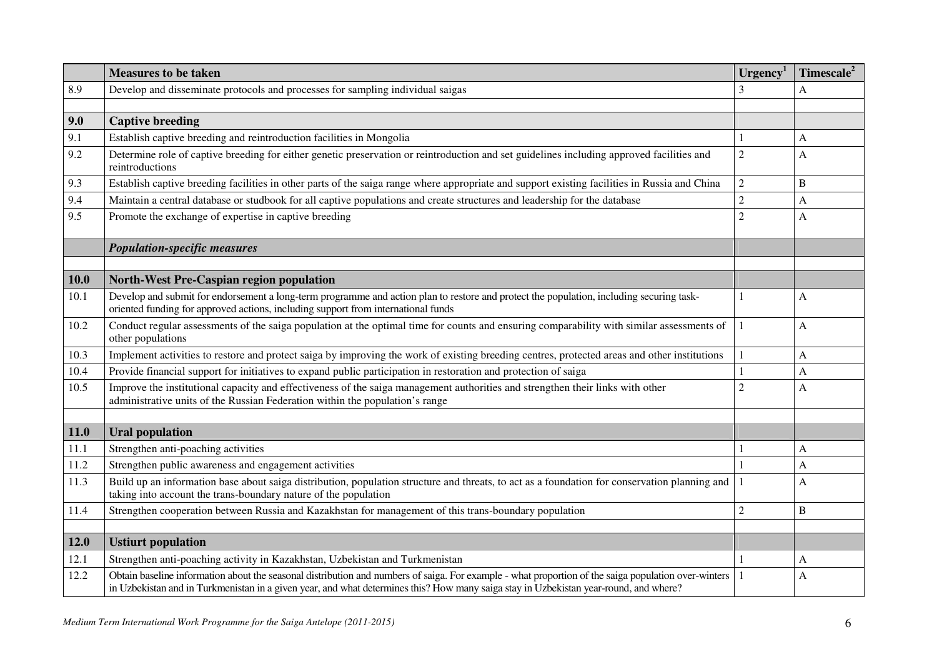|      | <b>Measures to be taken</b>                                                                                                                                                                                                   | $U$ rgency <sup>1</sup> | Timescale <sup>2</sup> |
|------|-------------------------------------------------------------------------------------------------------------------------------------------------------------------------------------------------------------------------------|-------------------------|------------------------|
| 8.9  | Develop and disseminate protocols and processes for sampling individual saigas                                                                                                                                                | 3                       | A                      |
|      |                                                                                                                                                                                                                               |                         |                        |
| 9.0  | <b>Captive breeding</b>                                                                                                                                                                                                       |                         |                        |
| 9.1  | Establish captive breeding and reintroduction facilities in Mongolia                                                                                                                                                          |                         | A                      |
| 9.2  | Determine role of captive breeding for either genetic preservation or reintroduction and set guidelines including approved facilities and<br>reintroductions                                                                  | $\overline{2}$          | A                      |
| 9.3  | Establish captive breeding facilities in other parts of the saiga range where appropriate and support existing facilities in Russia and China                                                                                 | $\overline{2}$          | B                      |
| 9.4  | Maintain a central database or studbook for all captive populations and create structures and leadership for the database                                                                                                     | $\overline{2}$          | A                      |
| 9.5  | Promote the exchange of expertise in captive breeding                                                                                                                                                                         | $\overline{2}$          | A                      |
|      |                                                                                                                                                                                                                               |                         |                        |
|      | <b>Population-specific measures</b>                                                                                                                                                                                           |                         |                        |
|      |                                                                                                                                                                                                                               |                         |                        |
| 10.0 | <b>North-West Pre-Caspian region population</b>                                                                                                                                                                               |                         |                        |
| 10.1 | Develop and submit for endorsement a long-term programme and action plan to restore and protect the population, including securing task-<br>oriented funding for approved actions, including support from international funds | 1                       | A                      |
| 10.2 | Conduct regular assessments of the saiga population at the optimal time for counts and ensuring comparability with similar assessments of<br>other populations                                                                | 1                       | A                      |
| 10.3 | Implement activities to restore and protect saiga by improving the work of existing breeding centres, protected areas and other institutions                                                                                  | $\mathbf{1}$            | A                      |
| 10.4 | Provide financial support for initiatives to expand public participation in restoration and protection of saiga                                                                                                               | $\mathbf{1}$            | A                      |
| 10.5 | Improve the institutional capacity and effectiveness of the saiga management authorities and strengthen their links with other<br>administrative units of the Russian Federation within the population's range                | $\overline{2}$          | A                      |
|      |                                                                                                                                                                                                                               |                         |                        |
| 11.0 | <b>Ural population</b>                                                                                                                                                                                                        |                         |                        |
| 11.1 | Strengthen anti-poaching activities                                                                                                                                                                                           |                         | A                      |
| 11.2 | Strengthen public awareness and engagement activities                                                                                                                                                                         | $\mathbf{1}$            | A                      |
| 11.3 | Build up an information base about saiga distribution, population structure and threats, to act as a foundation for conservation planning and<br>taking into account the trans-boundary nature of the population              | $\mathbf{1}$            | A                      |
| 11.4 | Strengthen cooperation between Russia and Kazakhstan for management of this trans-boundary population                                                                                                                         | $\overline{2}$          | $\overline{B}$         |
| 12.0 | <b>Ustiurt population</b>                                                                                                                                                                                                     |                         |                        |
| 12.1 | Strengthen anti-poaching activity in Kazakhstan, Uzbekistan and Turkmenistan                                                                                                                                                  |                         | A                      |
| 12.2 | Obtain baseline information about the seasonal distribution and numbers of saiga. For example - what proportion of the saiga population over-winters                                                                          | -1                      |                        |
|      | in Uzbekistan and in Turkmenistan in a given year, and what determines this? How many saiga stay in Uzbekistan year-round, and where?                                                                                         |                         | A                      |